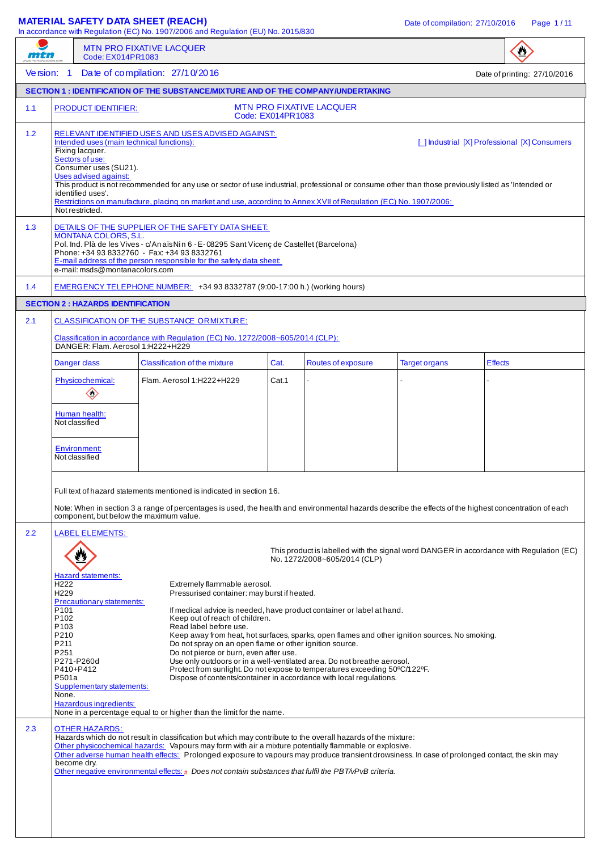## **MATERIAL SAFETY DATA SHEET (REACH)** Date of compilation: 27/10/2016 Page 1/11

In accordance with Regulation (EC) No. 1907/2006 and Regulation (EU) No. 2015/830

|            |                                                                                                                                                                                                                                                                                                                                                                                                                                                                                                                                                                                                                                                                                                                                                                                                                                                                  | Code: EX014PR1083                                                                                                                                                         | <b>MTN PRO FIXATIVE LACQUER</b>                                                                                                                                                                                                                                                                                                                                                                                                                                                     |                   |                                 |                                                                                         |                |                              |
|------------|------------------------------------------------------------------------------------------------------------------------------------------------------------------------------------------------------------------------------------------------------------------------------------------------------------------------------------------------------------------------------------------------------------------------------------------------------------------------------------------------------------------------------------------------------------------------------------------------------------------------------------------------------------------------------------------------------------------------------------------------------------------------------------------------------------------------------------------------------------------|---------------------------------------------------------------------------------------------------------------------------------------------------------------------------|-------------------------------------------------------------------------------------------------------------------------------------------------------------------------------------------------------------------------------------------------------------------------------------------------------------------------------------------------------------------------------------------------------------------------------------------------------------------------------------|-------------------|---------------------------------|-----------------------------------------------------------------------------------------|----------------|------------------------------|
| Version: 1 |                                                                                                                                                                                                                                                                                                                                                                                                                                                                                                                                                                                                                                                                                                                                                                                                                                                                  |                                                                                                                                                                           | Date of compilation: 27/1 0/2016                                                                                                                                                                                                                                                                                                                                                                                                                                                    |                   |                                 |                                                                                         |                | Date of printing: 27/10/2016 |
|            |                                                                                                                                                                                                                                                                                                                                                                                                                                                                                                                                                                                                                                                                                                                                                                                                                                                                  |                                                                                                                                                                           | SECTION 1 : IDENTIFICATION OF THE SUBSTANCE/MIXTURE AND OF THE COMPANY/UNDERTAKING                                                                                                                                                                                                                                                                                                                                                                                                  |                   |                                 |                                                                                         |                |                              |
| 1.1        |                                                                                                                                                                                                                                                                                                                                                                                                                                                                                                                                                                                                                                                                                                                                                                                                                                                                  | <b>PRODUCT IDENTIFIER:</b>                                                                                                                                                |                                                                                                                                                                                                                                                                                                                                                                                                                                                                                     | Code: EX014PR1083 | <b>MTN PRO FIXATIVE LACQUER</b> |                                                                                         |                |                              |
| 1.2        |                                                                                                                                                                                                                                                                                                                                                                                                                                                                                                                                                                                                                                                                                                                                                                                                                                                                  | Intended uses (main technical functions):<br>Fixing lacquer.<br>Sectors of use:<br>Consumer uses (SU21).<br>Uses advised against:<br>identified uses'.<br>Not restricted. | RELEVANT IDENTIFIED USES AND USES ADVISED AGAINST:<br>This product is not recommended for any use or sector of use industrial, professional or consume other than those previously listed as 'Intended or<br>Restrictions on manufacture, placing on market and use, according to Annex XVII of Regulation (EC) No. 1907/2006:                                                                                                                                                      |                   |                                 | [ ] Industrial [X] Professional [X] Consumers                                           |                |                              |
| 1.3        | DETAILS OF THE SUPPLIER OF THE SAFETY DATA SHEET:<br><b>MONTANA COLORS, S.L.</b><br>Pol. Ind. Plà de les Vives - c/An aïs Nin 6 - E-08295 Sant Vicenç de Castellet (Barcelona)<br>Phone: +34 93 8332760 - Fax: +34 93 8332761<br>E-mail address of the person responsible for the safety data sheet:<br>e-mail: msds@montanacolors.com                                                                                                                                                                                                                                                                                                                                                                                                                                                                                                                           |                                                                                                                                                                           |                                                                                                                                                                                                                                                                                                                                                                                                                                                                                     |                   |                                 |                                                                                         |                |                              |
| 1.4        |                                                                                                                                                                                                                                                                                                                                                                                                                                                                                                                                                                                                                                                                                                                                                                                                                                                                  |                                                                                                                                                                           | EMERGENCY TELEPHONE NUMBER: +34 93 8332787 (9:00-17:00 h.) (working hours)                                                                                                                                                                                                                                                                                                                                                                                                          |                   |                                 |                                                                                         |                |                              |
|            |                                                                                                                                                                                                                                                                                                                                                                                                                                                                                                                                                                                                                                                                                                                                                                                                                                                                  | <b>SECTION 2: HAZARDS IDENTIFICATION</b>                                                                                                                                  |                                                                                                                                                                                                                                                                                                                                                                                                                                                                                     |                   |                                 |                                                                                         |                |                              |
| 2.1        |                                                                                                                                                                                                                                                                                                                                                                                                                                                                                                                                                                                                                                                                                                                                                                                                                                                                  | DANGER: Flam. Aerosol 1:H222+H229                                                                                                                                         | <b>CLASSIFICATION OF THE SUBSTANCE ORMIXTURE:</b><br>Classification in accordance with Regulation (EC) No. 1272/2008~605/2014 (CLP):                                                                                                                                                                                                                                                                                                                                                |                   |                                 |                                                                                         |                |                              |
|            |                                                                                                                                                                                                                                                                                                                                                                                                                                                                                                                                                                                                                                                                                                                                                                                                                                                                  | Danger class                                                                                                                                                              | <b>Classification of the mixture</b>                                                                                                                                                                                                                                                                                                                                                                                                                                                | Cat.              | Routes of exposure              | <b>Target organs</b>                                                                    | <b>Effects</b> |                              |
|            |                                                                                                                                                                                                                                                                                                                                                                                                                                                                                                                                                                                                                                                                                                                                                                                                                                                                  | Physicochemical:<br>$\diamondsuit$                                                                                                                                        | Flam. Aerosol 1:H222+H229                                                                                                                                                                                                                                                                                                                                                                                                                                                           | Cat.1             |                                 |                                                                                         |                |                              |
|            |                                                                                                                                                                                                                                                                                                                                                                                                                                                                                                                                                                                                                                                                                                                                                                                                                                                                  | Human health:<br>Not classified                                                                                                                                           |                                                                                                                                                                                                                                                                                                                                                                                                                                                                                     |                   |                                 |                                                                                         |                |                              |
|            |                                                                                                                                                                                                                                                                                                                                                                                                                                                                                                                                                                                                                                                                                                                                                                                                                                                                  | <b>Environment:</b><br>Not classified                                                                                                                                     |                                                                                                                                                                                                                                                                                                                                                                                                                                                                                     |                   |                                 |                                                                                         |                |                              |
|            |                                                                                                                                                                                                                                                                                                                                                                                                                                                                                                                                                                                                                                                                                                                                                                                                                                                                  | component, but below the maximum value.                                                                                                                                   | Full text of hazard statements mentioned is indicated in section 16.<br>Note: When in section 3 a range of percentages is used, the health and environmental hazards describe the effects of the highest concentration of each                                                                                                                                                                                                                                                      |                   |                                 |                                                                                         |                |                              |
| 2.2        |                                                                                                                                                                                                                                                                                                                                                                                                                                                                                                                                                                                                                                                                                                                                                                                                                                                                  | <b>LABEL ELEMENTS:</b>                                                                                                                                                    |                                                                                                                                                                                                                                                                                                                                                                                                                                                                                     |                   | No. 1272/2008~605/2014 (CLP)    | This product is labelled with the signal word DANGER in accordance with Regulation (EC) |                |                              |
|            | H <sub>222</sub><br>H <sub>229</sub>                                                                                                                                                                                                                                                                                                                                                                                                                                                                                                                                                                                                                                                                                                                                                                                                                             | <b>Hazard statements:</b>                                                                                                                                                 | Extremely flammable aerosol.<br>Pressurised container: may burst if heated.                                                                                                                                                                                                                                                                                                                                                                                                         |                   |                                 |                                                                                         |                |                              |
|            | Precautionary statements:<br>P101<br>If medical advice is needed, have product container or label at hand.<br>P <sub>102</sub><br>Keep out of reach of children.<br>P <sub>103</sub><br>Read label before use.<br>P210<br>Keep away from heat, hot surfaces, sparks, open flames and other ignition sources. No smoking.<br>P211<br>Do not spray on an open flame or other ignition source.<br>P251<br>Do not pierce or burn, even after use.<br>P271-P260d<br>Use only outdoors or in a well-ventilated area. Do not breathe aerosol.<br>P410+P412<br>Protect from sunlight. Do not expose to temperatures exceeding 50°C/122°F.<br>P501a<br>Dispose of contents/container in accordance with local regulations.<br><b>Supplementary statements:</b><br>None.<br>Hazardous ingredients:<br>None in a percentage equal to or higher than the limit for the name. |                                                                                                                                                                           |                                                                                                                                                                                                                                                                                                                                                                                                                                                                                     |                   |                                 |                                                                                         |                |                              |
| 2.3        |                                                                                                                                                                                                                                                                                                                                                                                                                                                                                                                                                                                                                                                                                                                                                                                                                                                                  | <b>OTHER HAZARDS:</b><br>become dry.                                                                                                                                      | Hazards which do not result in classification but which may contribute to the overall hazards of the mixture:<br>Other physicochemical hazards: Vapours may form with air a mixture potentially flammable or explosive.<br>Other adverse human health effects: Prolonged exposure to vapours may produce transient drowsiness. In case of prolonged contact, the skin may<br>Other negative environmental effects: # Does not contain substances that fulfil the PBT/vPvB criteria. |                   |                                 |                                                                                         |                |                              |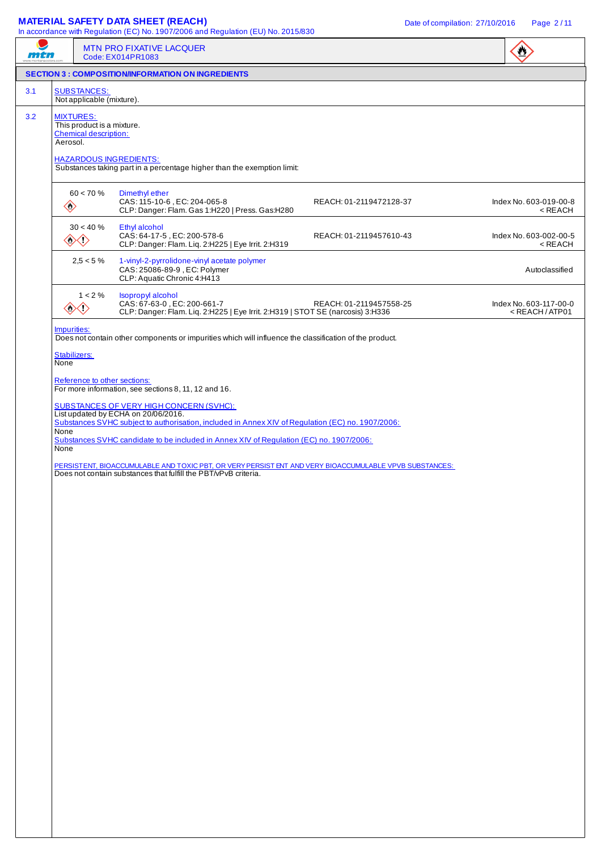## **MATERIAL SAFETY DATA SHEET (REACH)** Date of compilation: 27/10/2016 Page 2/11

| III accordance with Negulation (EO) NO. 1907/2000 and Negulation (EO) NO. 2019/050<br>mth |                                                                                                                                                                                                        |                                                 | MTN PRO FIXATIVE LACQUER<br>Code: EX014PR1083                                                                                                                                                                                                                                                                                                                                                                                                                                                                                                                                                                                         |                         | $\sum_{i=1}^{n}$                                          |
|-------------------------------------------------------------------------------------------|--------------------------------------------------------------------------------------------------------------------------------------------------------------------------------------------------------|-------------------------------------------------|---------------------------------------------------------------------------------------------------------------------------------------------------------------------------------------------------------------------------------------------------------------------------------------------------------------------------------------------------------------------------------------------------------------------------------------------------------------------------------------------------------------------------------------------------------------------------------------------------------------------------------------|-------------------------|-----------------------------------------------------------|
|                                                                                           |                                                                                                                                                                                                        |                                                 | <b>SECTION 3 : COMPOSITION/INFORMATION ON INGREDIENTS</b>                                                                                                                                                                                                                                                                                                                                                                                                                                                                                                                                                                             |                         |                                                           |
| 3.1                                                                                       |                                                                                                                                                                                                        | <b>SUBSTANCES:</b><br>Not applicable (mixture). |                                                                                                                                                                                                                                                                                                                                                                                                                                                                                                                                                                                                                                       |                         |                                                           |
| 3.2                                                                                       | <b>MIXTURES:</b><br>This product is a mixture.<br><b>Chemical description:</b><br>Aerosol.<br><b>HAZARDOUS INGREDIENTS:</b><br>Substances taking part in a percentage higher than the exemption limit: |                                                 |                                                                                                                                                                                                                                                                                                                                                                                                                                                                                                                                                                                                                                       |                         |                                                           |
|                                                                                           | $\diamondsuit$                                                                                                                                                                                         | $60 < 70 \%$                                    | Dimethyl ether<br>CAS: 115-10-6, EC: 204-065-8<br>CLP: Danger: Flam. Gas 1:H220   Press. Gas:H280                                                                                                                                                                                                                                                                                                                                                                                                                                                                                                                                     | REACH: 01-2119472128-37 | Index No. 603-019-00-8<br>$<$ REACH                       |
|                                                                                           |                                                                                                                                                                                                        | $30 < 40 \%$<br>◇◇                              | Ethyl alcohol<br>CAS: 64-17-5, EC: 200-578-6<br>CLP: Danger: Flam. Liq. 2:H225   Eye Irrit. 2:H319                                                                                                                                                                                                                                                                                                                                                                                                                                                                                                                                    | REACH: 01-2119457610-43 | Index No. 603-002-00-5<br>$<$ REACH                       |
|                                                                                           |                                                                                                                                                                                                        | $2,5 < 5\%$                                     | 1-vinyl-2-pyrrolidone-vinyl acetate polymer<br>CAS: 25086-89-9, EC: Polymer<br>CLP: Aquatic Chronic 4:H413                                                                                                                                                                                                                                                                                                                                                                                                                                                                                                                            |                         | Autoclassified                                            |
|                                                                                           |                                                                                                                                                                                                        | $1 < 2 \%$<br>◇◇                                | Isopropyl alcohol<br>CAS: 67-63-0, EC: 200-661-7<br>CLP: Danger: Flam. Liq. 2:H225   Eye Irrit. 2:H319   STOT SE (narcosis) 3:H336                                                                                                                                                                                                                                                                                                                                                                                                                                                                                                    | REACH: 01-2119457558-25 | Index No. 603-117-00-0<br><reach atp01<="" td=""></reach> |
|                                                                                           | Impurities:<br>Stabilizers:<br>None<br>None<br><b>None</b>                                                                                                                                             | Reference to other sections:                    | Does not contain other components or impurities which will influence the classification of the product.<br>For more information, see sections 8, 11, 12 and 16.<br><b>SUBSTANCES OF VERY HIGH CONCERN (SVHC):</b><br>List updated by ECHA on 20/06/2016.<br>Substances SVHC subject to authorisation, included in Annex XIV of Regulation (EC) no. 1907/2006:<br>Substances SVHC candidate to be included in Annex XIV of Regulation (EC) no. 1907/2006:<br>PERSISTENT, BIOACCUMULABLE AND TOXIC PBT, OR VERY PERSIST ENT AND VERY BIOACCUMULABLE VPVB SUBSTANCES:<br>Does not contain substances that fulfill the PBT/vPvB criteria. |                         |                                                           |
|                                                                                           |                                                                                                                                                                                                        |                                                 |                                                                                                                                                                                                                                                                                                                                                                                                                                                                                                                                                                                                                                       |                         |                                                           |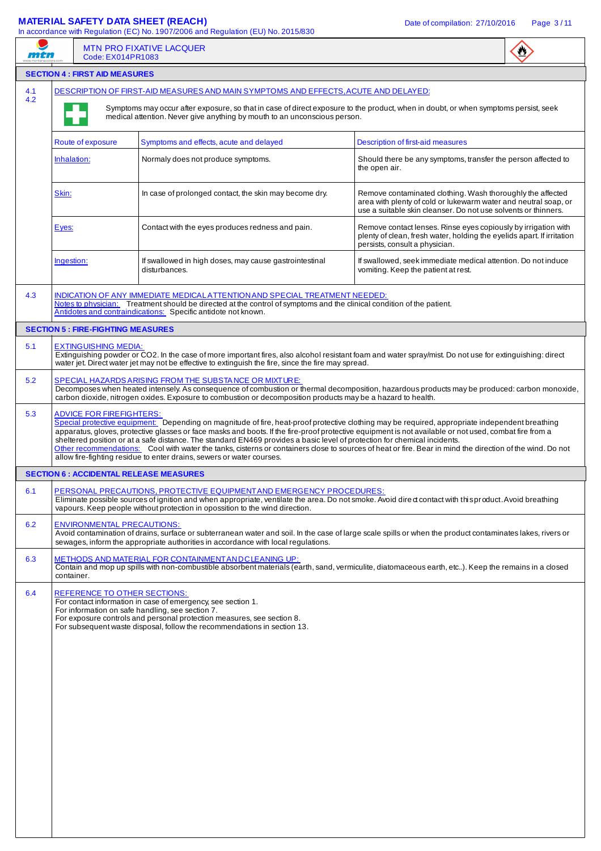## **MATERIAL SAFETY DATA SHEET (REACH)** Date of compilation: 27/10/2016 Page 3/11

|            | Code: EX014PR1083                                                                                                                                                                                                                                                                                                                                                                                                                                                                                                                                                                                                                                                                                               | <b>MTN PRO FIXATIVE LACQUER</b>                                                                                                                                                                                                                                                                                         |                                                                                                                                                                                                 |  |  |  |  |  |  |
|------------|-----------------------------------------------------------------------------------------------------------------------------------------------------------------------------------------------------------------------------------------------------------------------------------------------------------------------------------------------------------------------------------------------------------------------------------------------------------------------------------------------------------------------------------------------------------------------------------------------------------------------------------------------------------------------------------------------------------------|-------------------------------------------------------------------------------------------------------------------------------------------------------------------------------------------------------------------------------------------------------------------------------------------------------------------------|-------------------------------------------------------------------------------------------------------------------------------------------------------------------------------------------------|--|--|--|--|--|--|
|            | <b>SECTION 4 : FIRST AID MEASURES</b>                                                                                                                                                                                                                                                                                                                                                                                                                                                                                                                                                                                                                                                                           |                                                                                                                                                                                                                                                                                                                         |                                                                                                                                                                                                 |  |  |  |  |  |  |
| 4.1<br>4.2 |                                                                                                                                                                                                                                                                                                                                                                                                                                                                                                                                                                                                                                                                                                                 | DESCRIPTION OF FIRST-AID MEASURES AND MAIN SYMPTOMS AND EFFECTS, ACUTE AND DELAYED:                                                                                                                                                                                                                                     |                                                                                                                                                                                                 |  |  |  |  |  |  |
|            | Symptoms may occur after exposure, so that in case of direct exposure to the product, when in doubt, or when symptoms persist, seek<br>medical attention. Never give anything by mouth to an unconscious person.                                                                                                                                                                                                                                                                                                                                                                                                                                                                                                |                                                                                                                                                                                                                                                                                                                         |                                                                                                                                                                                                 |  |  |  |  |  |  |
|            | Route of exposure                                                                                                                                                                                                                                                                                                                                                                                                                                                                                                                                                                                                                                                                                               | Symptoms and effects, acute and delayed                                                                                                                                                                                                                                                                                 | Description of first-aid measures                                                                                                                                                               |  |  |  |  |  |  |
|            | Inhalation:                                                                                                                                                                                                                                                                                                                                                                                                                                                                                                                                                                                                                                                                                                     | Normaly does not produce symptoms.                                                                                                                                                                                                                                                                                      | Should there be any symptoms, transfer the person affected to<br>the open air.                                                                                                                  |  |  |  |  |  |  |
|            | Skin:                                                                                                                                                                                                                                                                                                                                                                                                                                                                                                                                                                                                                                                                                                           | In case of prolonged contact, the skin may become dry.                                                                                                                                                                                                                                                                  | Remove contaminated clothing. Wash thoroughly the affected<br>area with plenty of cold or lukewarm water and neutral soap, or<br>use a suitable skin cleanser. Do not use solvents or thinners. |  |  |  |  |  |  |
|            | Eyes:                                                                                                                                                                                                                                                                                                                                                                                                                                                                                                                                                                                                                                                                                                           | Contact with the eyes produces redness and pain.                                                                                                                                                                                                                                                                        | Remove contact lenses. Rinse eyes copiously by irrigation with<br>plenty of clean, fresh water, holding the evelids apart. If irritation<br>persists, consult a physician.                      |  |  |  |  |  |  |
|            | Ingestion:                                                                                                                                                                                                                                                                                                                                                                                                                                                                                                                                                                                                                                                                                                      | If swallowed in high doses, may cause gastrointestinal<br>disturbances.                                                                                                                                                                                                                                                 | If swallowed, seek immediate medical attention. Do not induce<br>vomiting. Keep the patient at rest.                                                                                            |  |  |  |  |  |  |
| 4.3        |                                                                                                                                                                                                                                                                                                                                                                                                                                                                                                                                                                                                                                                                                                                 | INDICATION OF ANY IMMEDIATE MEDICAL ATTENTION AND SPECIAL TREATMENT NEEDED:<br>Notes to physician: Treatment should be directed at the control of symptoms and the clinical condition of the patient.<br>Antidotes and contraindications: Specific antidote not known.                                                  |                                                                                                                                                                                                 |  |  |  |  |  |  |
|            | <b>SECTION 5: FIRE-FIGHTING MEASURES</b>                                                                                                                                                                                                                                                                                                                                                                                                                                                                                                                                                                                                                                                                        |                                                                                                                                                                                                                                                                                                                         |                                                                                                                                                                                                 |  |  |  |  |  |  |
| 5.1        | <b>EXTINGUISHING MEDIA:</b>                                                                                                                                                                                                                                                                                                                                                                                                                                                                                                                                                                                                                                                                                     | Extinguishing powder or CO2. In the case of more important fires, also alcohol resistant foam and water spray/mist. Do not use for extinguishing: direct<br>water jet. Direct water jet may not be effective to extinguish the fire, since the fire may spread.                                                         |                                                                                                                                                                                                 |  |  |  |  |  |  |
| 5.2        |                                                                                                                                                                                                                                                                                                                                                                                                                                                                                                                                                                                                                                                                                                                 | SPECIAL HAZARDS ARISING FROM THE SUBSTANCE OR MIXTURE:<br>Decomposes when heated intensely. As consequence of combustion or thermal decomposition, hazardous products may be produced: carbon monoxide,<br>carbon dioxide, nitrogen oxides. Exposure to combustion or decomposition products may be a hazard to health. |                                                                                                                                                                                                 |  |  |  |  |  |  |
| 5.3        | <b>ADVICE FOR FIREFIGHTERS:</b><br>Special protective equipment: Depending on magnitude of fire, heat-proof protective clothing may be required, appropriate independent breathing<br>apparatus, gloves, protective glasses or face masks and boots. If the fire-proof protective equipment is not available or not used, combat fire from a<br>sheltered position or at a safe distance. The standard EN469 provides a basic level of protection for chemical incidents.<br>Other recommendations: Cool with water the tanks, cisterns or containers close to sources of heat or fire. Bear in mind the direction of the wind. Do not<br>allow fire-fighting residue to enter drains, sewers or water courses. |                                                                                                                                                                                                                                                                                                                         |                                                                                                                                                                                                 |  |  |  |  |  |  |
|            | <b>SECTION 6 : ACCIDENTAL RELEASE MEASURES</b>                                                                                                                                                                                                                                                                                                                                                                                                                                                                                                                                                                                                                                                                  |                                                                                                                                                                                                                                                                                                                         |                                                                                                                                                                                                 |  |  |  |  |  |  |
| 6.1        |                                                                                                                                                                                                                                                                                                                                                                                                                                                                                                                                                                                                                                                                                                                 | PERSONAL PRECAUTIONS, PROTECTIVE EQUIPMENTAND EMERGENCY PROCEDURES:<br>Eliminate possible sources of ignition and when appropriate, ventilate the area. Do not smoke. Avoid dired contact with this product. Avoid breathing<br>vapours. Keep people without protection in opossition to the wind direction.            |                                                                                                                                                                                                 |  |  |  |  |  |  |
| 6.2        | <b>ENVIRONMENTAL PRECAUTIONS:</b>                                                                                                                                                                                                                                                                                                                                                                                                                                                                                                                                                                                                                                                                               | Avoid contamination of drains, surface or subterranean water and soil. In the case of large scale spills or when the product contaminates lakes, rivers or<br>sewages, inform the appropriate authorities in accordance with local regulations.                                                                         |                                                                                                                                                                                                 |  |  |  |  |  |  |
| 6.3        | container.                                                                                                                                                                                                                                                                                                                                                                                                                                                                                                                                                                                                                                                                                                      | METHODS AND MATERIAL FOR CONTAINMENT AND CLEANING UP:<br>Contain and mop up spills with non-combustible absorbent materials (earth, sand, vermiculite, diatomaceous earth, etc). Keep the remains in a closed                                                                                                           |                                                                                                                                                                                                 |  |  |  |  |  |  |
| 6.4        | REFERENCE TO OTHER SECTIONS:<br>For contact information in case of emergency, see section 1.<br>For information on safe handling, see section 7.<br>For exposure controls and personal protection measures, see section 8.<br>For subsequent waste disposal, follow the recommendations in section 13.                                                                                                                                                                                                                                                                                                                                                                                                          |                                                                                                                                                                                                                                                                                                                         |                                                                                                                                                                                                 |  |  |  |  |  |  |
|            |                                                                                                                                                                                                                                                                                                                                                                                                                                                                                                                                                                                                                                                                                                                 |                                                                                                                                                                                                                                                                                                                         |                                                                                                                                                                                                 |  |  |  |  |  |  |
|            |                                                                                                                                                                                                                                                                                                                                                                                                                                                                                                                                                                                                                                                                                                                 |                                                                                                                                                                                                                                                                                                                         |                                                                                                                                                                                                 |  |  |  |  |  |  |
|            |                                                                                                                                                                                                                                                                                                                                                                                                                                                                                                                                                                                                                                                                                                                 |                                                                                                                                                                                                                                                                                                                         |                                                                                                                                                                                                 |  |  |  |  |  |  |
|            |                                                                                                                                                                                                                                                                                                                                                                                                                                                                                                                                                                                                                                                                                                                 |                                                                                                                                                                                                                                                                                                                         |                                                                                                                                                                                                 |  |  |  |  |  |  |
|            |                                                                                                                                                                                                                                                                                                                                                                                                                                                                                                                                                                                                                                                                                                                 |                                                                                                                                                                                                                                                                                                                         |                                                                                                                                                                                                 |  |  |  |  |  |  |
|            |                                                                                                                                                                                                                                                                                                                                                                                                                                                                                                                                                                                                                                                                                                                 |                                                                                                                                                                                                                                                                                                                         |                                                                                                                                                                                                 |  |  |  |  |  |  |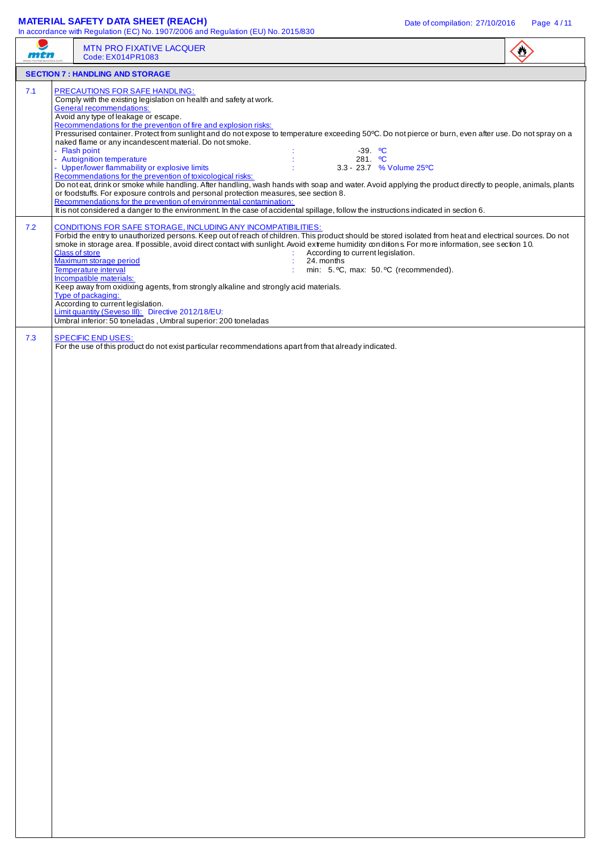## **MATERIAL SAFETY DATA SHEET (REACH)** Date of compilation: 27/10/2016 Page 4/11

|            | <b>MTN PRO FIXATIVE LACQUER</b><br>Code: EX014PR1083                                                                                                                                                                                                                                                                                                                                                                                                                                                                                                                                                                                                                                                                                                                                                                                                                                                                                                                                                                                                                                                                                                                                                                                                                                                                                                                                                                                                                                                                                                                                                                           |  |
|------------|--------------------------------------------------------------------------------------------------------------------------------------------------------------------------------------------------------------------------------------------------------------------------------------------------------------------------------------------------------------------------------------------------------------------------------------------------------------------------------------------------------------------------------------------------------------------------------------------------------------------------------------------------------------------------------------------------------------------------------------------------------------------------------------------------------------------------------------------------------------------------------------------------------------------------------------------------------------------------------------------------------------------------------------------------------------------------------------------------------------------------------------------------------------------------------------------------------------------------------------------------------------------------------------------------------------------------------------------------------------------------------------------------------------------------------------------------------------------------------------------------------------------------------------------------------------------------------------------------------------------------------|--|
|            | <b>SECTION 7: HANDLING AND STORAGE</b>                                                                                                                                                                                                                                                                                                                                                                                                                                                                                                                                                                                                                                                                                                                                                                                                                                                                                                                                                                                                                                                                                                                                                                                                                                                                                                                                                                                                                                                                                                                                                                                         |  |
| 7.1<br>7.2 | <b>PRECAUTIONS FOR SAFE HANDLING:</b><br>Comply with the existing legislation on health and safety at work.<br><b>General recommendations:</b><br>Avoid any type of leakage or escape.<br>Recommendations for the prevention of fire and explosion risks:<br>Pressurised container. Protect from sunlight and do not expose to temperature exceeding 50°C. Do not pierce or burn, even after use. Do not spray on a<br>naked flame or any incandescent material. Do not smoke.<br>- Flash point<br>$-39.$ °C<br>- Autoignition temperature<br>281. $^{\circ}$ C<br>- Upper/lower flammability or explosive limits<br>3.3 - 23.7 % Volume 25°C<br>Recommendations for the prevention of toxicological risks:<br>Do noteat, drink or smoke while handling. After handling, wash hands with soap and water. Avoid applying the product directly to people, animals, plants<br>or foodstuffs. For exposure controls and personal protection measures, see section 8.<br>Recommendations for the prevention of environmental contamination:<br>It is not considered a danger to the environment. In the case of accidental spillage, follow the instructions indicated in section 6.<br>CONDITIONS FOR SAFE STORAGE, INCLUDING ANY INCOMPATIBILITIES:<br>Forbid the entry to unauthorized persons. Keep out of reach of children. This product should be stored isolated from heat and electrical sources. Do not<br>smoke in storage area. If possible, avoid direct contact with sunlight. Avoid extreme humidity conditions. For more information, see section 10.<br><b>Class of store</b><br>According to current legislation. |  |
| 7.3        | Maximum storage period<br>24. months<br>min: 5. °C, max: 50. °C (recommended).<br>Temperature interval<br>Incompatible materials:<br>Keep away from oxidixing agents, from strongly alkaline and strongly acid materials.<br>Type of packaging:<br>According to current legislation.<br>Limit quantity (Seveso III): Directive 2012/18/EU:<br>Umbral inferior: 50 toneladas, Umbral superior: 200 toneladas<br><b>SPECIFIC END USES:</b>                                                                                                                                                                                                                                                                                                                                                                                                                                                                                                                                                                                                                                                                                                                                                                                                                                                                                                                                                                                                                                                                                                                                                                                       |  |
|            | For the use of this product do not exist particular recommendations apart from that already indicated.                                                                                                                                                                                                                                                                                                                                                                                                                                                                                                                                                                                                                                                                                                                                                                                                                                                                                                                                                                                                                                                                                                                                                                                                                                                                                                                                                                                                                                                                                                                         |  |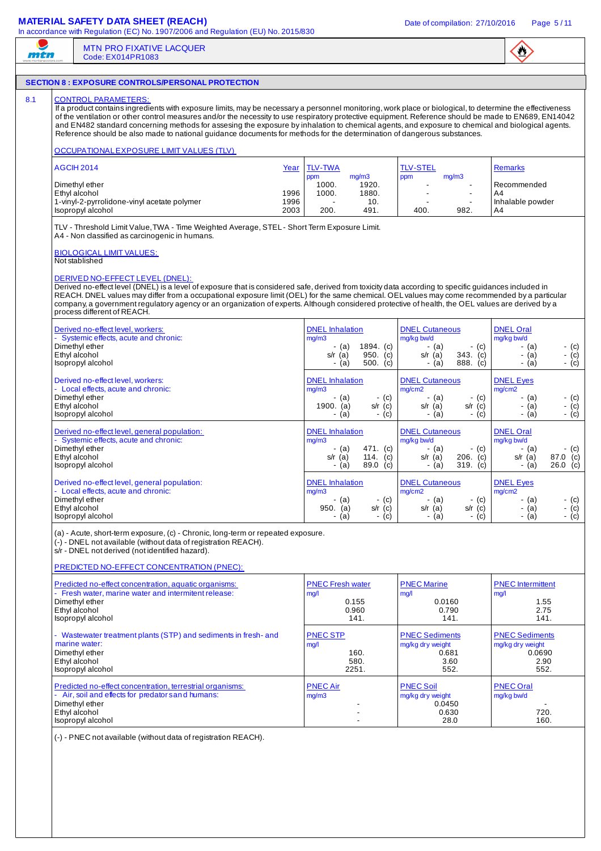### **MATERIAL SAFETY DATA SHEET (REACH)** DATA DATA COMPONENT DATE DATE OF COMPILATION: 27/10/2016 Page 5/11

In accordance with Regulation (EC) No. 1907/2006 and Regulation (EU) No. 2015/830



#### MTN PRO FIXATIVE LACQUER mtn Code: EX014PR1083 **SECTION 8 : EXPOSURE CONTROLS/PERSONAL PROTECTION**  8.1 CONTROL PARAMETERS If a product contains ingredients with exposure limits, may be necessary a personnel monitoring, work place or biological, to determine the effectiveness of the ventilation or other control measures and/or the necessity to use respiratory protective equipment. Reference should be made to EN689, EN14042 and EN482 standard concerning methods for assesing the exposure by inhalation to chemical agents, and exposure to chemical and biological agents. Reference should be also made to national guidance documents for methods for the determination of dangerous substances. OCCUPATIONAL EXPOSURE LIMIT VALUES (TLV) AGCIH 2014 Year TLV-TWA TLV-STEL Remarks  $\overline{ppm}$  mg/m3<br>1000. 1920.  $\overline{ppm}$  mg/m3 Dimethyl ether 1000. 1920. - - Recommended Ethyl alcohol 1996 1000. 1880. - - A4 1-vinyl-2-pyrrolidone-vinyl acetate polymer 1996 - 10. 10. - - - Inhalable powder - Isopropyl alcohol - Inhalable powder 1996 - 10. 1996 - 10. 1996 - 10. 1996 - 10. 1997 - Inhalable powder Isopropyl alcohol 1998. Isopropyl alcohol 2003 200. 491. 400. 982. A4 TLV - Threshold Limit Value, TWA - Time Weighted Average, STEL - Short Term Exposure Limit. A4 - Non classified as carcinogenic in humans. BIOLOGICAL LIMIT VALUES: Not stablished DERIVED NO-EFFECT LEVEL (DNEL): Derived no-effect level (DNEL) is a level of exposure that is considered safe, derived from toxicity data according to specific guidances included in REACH. DNEL values may differ from a occupational exposure limit (OEL) for the same chemical. OEL values may come recommended by a particular company, a government regulatory agency or an organization of experts. Although considered protective of health, the OEL values are derived by a process different of REACH. Derived no-effect level, workers: Notified the South Control of the DNEL Inhalation DNEL Oral DNEL Oral DNEL Oral - Systemic effects, acute and chronic:<br>
Dimethyl ether (a) and the case of the math of the math of the math of the math of the math of the math of the<br>
Dimethyl ether (a) and the case of the math of the math of the math of Dimethyl ether - (a) 1894. (c) - (a) - (c) - (a) - (c) Ethyl alcohol s/r (a) 950. (c) s/r (a) 343. (c) - (a) - (c) Isopropyl alcohol - (a) - (a) - (a) - (a) - (a) - (a) - (c) - (a) - (c) - (c) - (c) - (c) - (c) - (c) - (c) - (c) DNEL Inhalation DNEL Cutaneous DNEL Eyes Derived no-effect level, workers: - Local effects, acute and chronic:<br>Dimethyl ether mg/m3 mg/cm2 mg/cm2 Dimethyl ether - (a) - (c) - (a) - (c) - (a) - (c) Ethyl alcohol 1900. (a) s/r (c) s/r (a) s/r (c) - (a) - (c) Isopropyl alcohol - (c) - (a) - (c) - (a) - (c) - (c) - (a) - (c) - (a) - (c) - (c) - (c) Derived no-effect level, general population: The DNEL Inhalation DNEL Oral DNEL Cutaneous DNEL Oral - Systemic effects, acute and chronic:<br>
Dimethyl ether (a) and chronic: mg/m3 and and chronic: mg/m3 and and chronic: mg/m3 and and chronic: mg/kg bw/d<br>
Dimethyl ether (a) and and chronic: (a) and and chronic: (a) and and Dimethyl ether - (a) 471. (c) - (a) - (c) - (a) - (c) Ethyl alcohol s/r (a) 114. (c) s/r (a) 206. (c) s/r (a) 87.0 (c) Isopropyl alcohol - (a) 89.0 (c) - (a) 89.0 (c) - (a) 319. (c) - (a) 26.0 (c) Derived no-effect level, general population: DNEL Inhalation DNEL Cutaneous DNEL Eyes<br>mg/m3 mg/cm2 n/mg/cm2 n/mg/cm2 - Local effects, acute and chronic:<br>Dimethyl ether mg/m3 mg/cm2 mg/cm2 Dimethyl ether - (a) - (c) - (a) - (c) - (a) - (c) Ethyl alcohol 950. (a) s/r (c) s/r (a) s/r (c) - (a) - (c) Isopropyl alcohol - (a) - (c) - (a) - (c) - (a) - (c) (a) - Acute, short-term exposure, (c) - Chronic, long-term or repeated exposure. (-) - DNEL not available (without data of registration REACH). s/r - DNEL not derived (not identified hazard). PREDICTED NO-EFFECT CONCENTRATION (PNEC): PNEC Fresh water PNEC Marine PNEC Intermittent Predicted no-effect concentration, aquatic organisms: - Fresh water, marine water and intermitent release:<br>Dimethyl ether mg/l mg/l mg/l Dimethyl ether 0.155 0.0160 1.55 Ethyl alcohol 0.960 0.790 2.75 Isopropyl alcohol 141. In the set of the set of the set of the set of the set of the set of the set of the set of the set of the set of the set of the set of the set of the set of the set of the set of the set of the set o PNEC STP PNEC Sediments PNEC Sediments Wastewater treatment plants (STP) and sediments in fresh- and marine water:<br>Dimethyl ether mg/l mg/kg dry weight mg/kg dry weight mg/kg dry weight 0.0690 Dimethyl ether 160. 0.681 0.0690 Ethyl alcohol 580. 3.60 2.90 Isopropyl alcohol 2251. 552. 552. PNEC Air PNEC Soil PNEC Oral Predicted no-effect concentration, terrestrial organisms: - Air, soil and effects for predator s and humans:<br>Dimethyl ether mg/m3 mg/kg dry weight mg/kg bw/d Dimethyl ether - 1.000 - 1.000 - 1.000 - 1.000 - 1.000 - 1.000 - 1.000 - 1.000 - 1.000 - 1.000 - 1.000 - 1.000 Ethyl alcohol - 0.630 720. Isopropyl alcohol 28.0 160. (-) - PNEC not available (without data of registration REACH).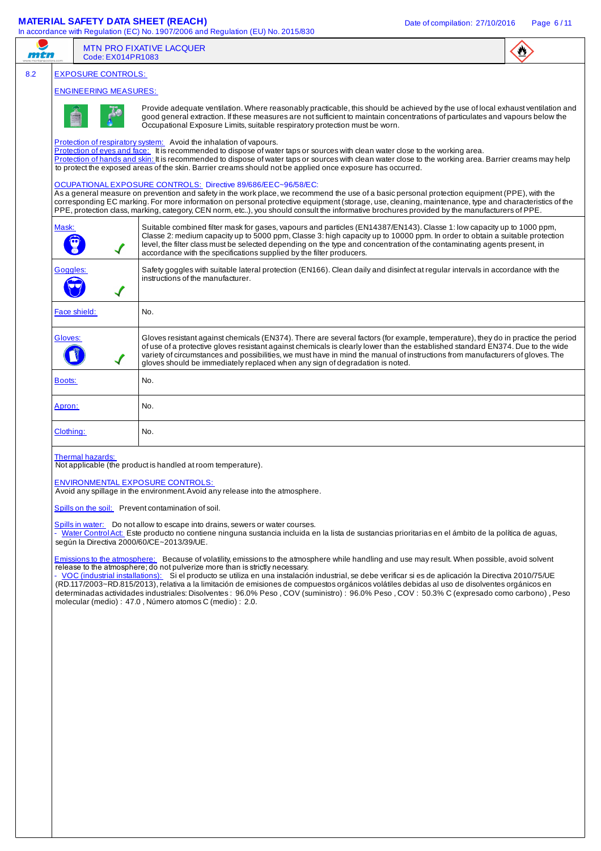## **MATERIAL SAFETY DATA SHEET (REACH)** Date of compilation: 27/10/2016 Page 6/11

|                                  | $\bullet$<br>Code: EX014PR1083                                                                                                                                                                                                                                                                                                                                                                                                                                                                                                                                                                                                                                                                                                                        |  |  |  |  |  |  |
|----------------------------------|-------------------------------------------------------------------------------------------------------------------------------------------------------------------------------------------------------------------------------------------------------------------------------------------------------------------------------------------------------------------------------------------------------------------------------------------------------------------------------------------------------------------------------------------------------------------------------------------------------------------------------------------------------------------------------------------------------------------------------------------------------|--|--|--|--|--|--|
| <b>EXPOSURE CONTROLS:</b>        |                                                                                                                                                                                                                                                                                                                                                                                                                                                                                                                                                                                                                                                                                                                                                       |  |  |  |  |  |  |
| <b>ENGINEERING MEASURES:</b>     |                                                                                                                                                                                                                                                                                                                                                                                                                                                                                                                                                                                                                                                                                                                                                       |  |  |  |  |  |  |
|                                  | Provide adequate ventilation. Where reasonably practicable, this should be achieved by the use of local exhaust ventilation and<br>good general extraction. If these measures are not sufficient to maintain concentrations of particulates and vapours below the<br>Occupational Exposure Limits, suitable respiratory protection must be worn.                                                                                                                                                                                                                                                                                                                                                                                                      |  |  |  |  |  |  |
|                                  | Protection of respiratory system: Avoid the inhalation of vapours.<br>Protection of eyes and face: It is recommended to dispose of water taps or sources with clean water close to the working area.<br>Protection of hands and skin: It is recommended to dispose of water taps or sources with clean water close to the working area. Barrier creams may help<br>to protect the exposed areas of the skin. Barrier creams should not be applied once exposure has occurred.                                                                                                                                                                                                                                                                         |  |  |  |  |  |  |
|                                  | OCUPATIONAL EXPOSURE CONTROLS: Directive 89/686/EEC~96/58/EC:<br>As a general measure on prevention and safety in the work place, we recommend the use of a basic personal protection equipment (PPE), with the<br>corresponding EC marking. For more information on personal protective equipment (storage, use, cleaning, maintenance, type and characteristics of the<br>PPE, protection class, marking, category, CEN norm, etc), you should consult the informative brochures provided by the manufacturers of PPE.                                                                                                                                                                                                                              |  |  |  |  |  |  |
| Mask:<br>$\checkmark$            | Suitable combined filter mask for gases, vapours and particles (EN14387/EN143). Classe 1: low capacity up to 1000 ppm,<br>Classe 2: medium capacity up to 5000 ppm, Classe 3: high capacity up to 10000 ppm. In order to obtain a suitable protection<br>level, the filter class must be selected depending on the type and concentration of the contaminating agents present, in<br>accordance with the specifications supplied by the filter producers.                                                                                                                                                                                                                                                                                             |  |  |  |  |  |  |
| Goggles:<br>$\blacktriangledown$ | Safety goggles with suitable lateral protection (EN166). Clean daily and disinfect at regular intervals in accordance with the<br>instructions of the manufacturer.                                                                                                                                                                                                                                                                                                                                                                                                                                                                                                                                                                                   |  |  |  |  |  |  |
| Face shield:                     | No.                                                                                                                                                                                                                                                                                                                                                                                                                                                                                                                                                                                                                                                                                                                                                   |  |  |  |  |  |  |
| Gloves:                          | Gloves resistant against chemicals (EN374). There are several factors (for example, temperature), they do in practice the period<br>of use of a protective gloves resistant against chemicals is clearly lower than the established standard EN374. Due to the wide<br>variety of circumstances and possibilities, we must have in mind the manual of instructions from manufacturers of gloves. The<br>gloves should be immediately replaced when any sign of degradation is noted.                                                                                                                                                                                                                                                                  |  |  |  |  |  |  |
| Boots:                           | No.                                                                                                                                                                                                                                                                                                                                                                                                                                                                                                                                                                                                                                                                                                                                                   |  |  |  |  |  |  |
| Apron:                           | No.                                                                                                                                                                                                                                                                                                                                                                                                                                                                                                                                                                                                                                                                                                                                                   |  |  |  |  |  |  |
| Clothing:                        | No.                                                                                                                                                                                                                                                                                                                                                                                                                                                                                                                                                                                                                                                                                                                                                   |  |  |  |  |  |  |
|                                  |                                                                                                                                                                                                                                                                                                                                                                                                                                                                                                                                                                                                                                                                                                                                                       |  |  |  |  |  |  |
| Thermal hazards:                 | Not applicable (the product is handled at room temperature).<br>ENVIRONMENTAL EXPOSURE CONTROLS:<br>Avoid any spillage in the environment. Avoid any release into the atmosphere.<br>Spills on the soil: Prevent contamination of soil.                                                                                                                                                                                                                                                                                                                                                                                                                                                                                                               |  |  |  |  |  |  |
|                                  | Spills in water: Do not allow to escape into drains, sewers or water courses.<br>· Water Control Act: Este producto no contiene ninguna sustancia incluida en la lista de sustancias prioritarias en el ámbito de la política de aguas,<br>según la Directiva 2000/60/CE~2013/39/UE.                                                                                                                                                                                                                                                                                                                                                                                                                                                                  |  |  |  |  |  |  |
|                                  | Emissions to the atmosphere: Because of volatility, emissions to the atmosphere while handling and use may result. When possible, avoid solvent<br>release to the atmosphere; do not pulverize more than is strictly necessary.<br>- VOC (industrial installations): Si el producto se utiliza en una instalación industrial, se debe verificar si es de aplicación la Directiva 2010/75/UE<br>(RD.117/2003~RD.815/2013), relativa a la limitación de emisiones de compuestos orgánicos volátiles debidas al uso de disolventes orgánicos en<br>determinadas actividades industriales: Disolventes: 96.0% Peso, COV (suministro): 96.0% Peso, COV: 50.3% C (expresado como carbono), Peso<br>molecular (medio) : 47.0, Número atomos C (medio) : 2.0. |  |  |  |  |  |  |
|                                  |                                                                                                                                                                                                                                                                                                                                                                                                                                                                                                                                                                                                                                                                                                                                                       |  |  |  |  |  |  |
|                                  |                                                                                                                                                                                                                                                                                                                                                                                                                                                                                                                                                                                                                                                                                                                                                       |  |  |  |  |  |  |
|                                  |                                                                                                                                                                                                                                                                                                                                                                                                                                                                                                                                                                                                                                                                                                                                                       |  |  |  |  |  |  |
|                                  |                                                                                                                                                                                                                                                                                                                                                                                                                                                                                                                                                                                                                                                                                                                                                       |  |  |  |  |  |  |
|                                  |                                                                                                                                                                                                                                                                                                                                                                                                                                                                                                                                                                                                                                                                                                                                                       |  |  |  |  |  |  |
|                                  |                                                                                                                                                                                                                                                                                                                                                                                                                                                                                                                                                                                                                                                                                                                                                       |  |  |  |  |  |  |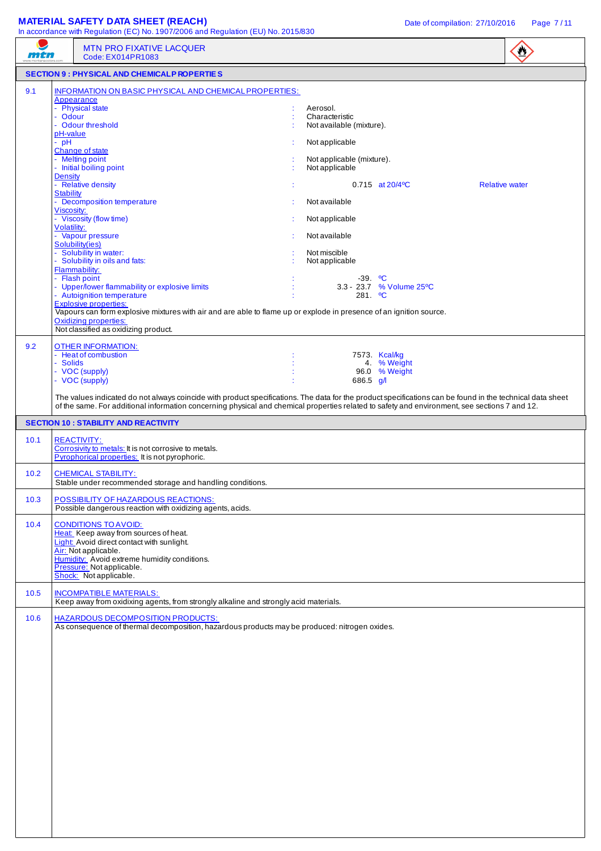# **MATERIAL SAFETY DATA SHEET (REACH)** Date of compilation: 27/10/2016 Page 7/11

| mtn  | In accordance with Regulation (EC) No. 1907/2006 and Regulation (EU) No. 2015/830<br><b>MTN PRO FIXATIVE LACQUER</b>                                                                                                                                                                                                                                                                                                                                                                                                                                                                                                                                                                                                                                                          |                                                                                                                                                                                                                                                                                                                                                                            | $\bigcirc$            |
|------|-------------------------------------------------------------------------------------------------------------------------------------------------------------------------------------------------------------------------------------------------------------------------------------------------------------------------------------------------------------------------------------------------------------------------------------------------------------------------------------------------------------------------------------------------------------------------------------------------------------------------------------------------------------------------------------------------------------------------------------------------------------------------------|----------------------------------------------------------------------------------------------------------------------------------------------------------------------------------------------------------------------------------------------------------------------------------------------------------------------------------------------------------------------------|-----------------------|
|      | Code: EX014PR1083<br><b>SECTION 9 : PHYSICAL AND CHEMICALP ROPERTIES</b>                                                                                                                                                                                                                                                                                                                                                                                                                                                                                                                                                                                                                                                                                                      |                                                                                                                                                                                                                                                                                                                                                                            |                       |
| 9.1  | INFORMATION ON BASIC PHYSICAL AND CHEMICAL PROPERTIES:<br>Appearance<br>- Physical state<br>- Odour<br>- Odour threshold<br>pH-value<br>- pH<br>Change of state<br>- Melting point<br>- Initial boiling point<br><b>Density</b><br>- Relative density<br><b>Stability</b><br>- Decomposition temperature<br>Viscosity:<br>- Viscosity (flow time)<br>Volatility:<br>- Vapour pressure<br>Solubility(ies)<br>- Solubility in water:<br>- Solubility in oils and fats:<br>Flammability:<br>- Flash point<br>- Upper/lower flammability or explosive limits<br>- Autoignition temperature<br><b>Explosive properties:</b><br>Vapours can form explosive mixtures with air and are able to flame up or explode in presence of an ignition source.<br><b>Oxidizing properties:</b> | Aerosol.<br>Characteristic<br>Not available (mixture).<br>Not applicable<br>Not applicable (mixture).<br>Not applicable<br>$0.715$ at $20/4$ <sup>o</sup> C<br>Not available<br>Not applicable<br>Not available<br>Not miscible<br>Not applicable<br>$-39.$ °C<br>3.3 - 23.7 % Volume 25 °C<br>$281.$ °C                                                                   | <b>Relative water</b> |
| 9.2  | Not classified as oxidizing product.<br>OTHER INFORMATION:<br>- Heat of combustion<br>- Solids<br>- VOC (supply)<br>- VOC (supply)                                                                                                                                                                                                                                                                                                                                                                                                                                                                                                                                                                                                                                            | 7573. Kcal/kg<br>4. % Weight<br>96.0 % Weight<br>686.5 $g/l$<br>The values indicated do not always coincide with product specifications. The data for the product specifications can be found in the technical data sheet<br>of the same. For additional information concerning physical and chemical properties related to safety and environment, see sections 7 and 12. |                       |
|      | <b>SECTION 10: STABILITY AND REACTIVITY</b>                                                                                                                                                                                                                                                                                                                                                                                                                                                                                                                                                                                                                                                                                                                                   |                                                                                                                                                                                                                                                                                                                                                                            |                       |
| 10.1 | <b>REACTIVITY:</b><br>Corrosivity to metals: It is not corrosive to metals.<br>Pyrophorical properties: It is not pyrophoric.                                                                                                                                                                                                                                                                                                                                                                                                                                                                                                                                                                                                                                                 |                                                                                                                                                                                                                                                                                                                                                                            |                       |
| 10.2 | <b>CHEMICAL STABILITY:</b><br>Stable under recommended storage and handling conditions.                                                                                                                                                                                                                                                                                                                                                                                                                                                                                                                                                                                                                                                                                       |                                                                                                                                                                                                                                                                                                                                                                            |                       |
| 10.3 | POSSIBILITY OF HAZARDOUS REACTIONS:<br>Possible dangerous reaction with oxidizing agents, acids.                                                                                                                                                                                                                                                                                                                                                                                                                                                                                                                                                                                                                                                                              |                                                                                                                                                                                                                                                                                                                                                                            |                       |
| 10.4 | <b>CONDITIONS TO AVOID:</b><br>Heat: Keep away from sources of heat.<br>Light: Avoid direct contact with sunlight.<br>Air: Not applicable.<br>Humidity: Avoid extreme humidity conditions.<br>Pressure: Not applicable.<br>Shock: Not applicable.                                                                                                                                                                                                                                                                                                                                                                                                                                                                                                                             |                                                                                                                                                                                                                                                                                                                                                                            |                       |
| 10.5 | <b>INCOMPATIBLE MATERIALS:</b><br>Keep away from oxidixing agents, from strongly alkaline and strongly acid materials.                                                                                                                                                                                                                                                                                                                                                                                                                                                                                                                                                                                                                                                        |                                                                                                                                                                                                                                                                                                                                                                            |                       |
| 10.6 | <b>HAZARDOUS DECOMPOSITION PRODUCTS:</b><br>As consequence of thermal decomposition, hazardous products may be produced: nitrogen oxides.                                                                                                                                                                                                                                                                                                                                                                                                                                                                                                                                                                                                                                     |                                                                                                                                                                                                                                                                                                                                                                            |                       |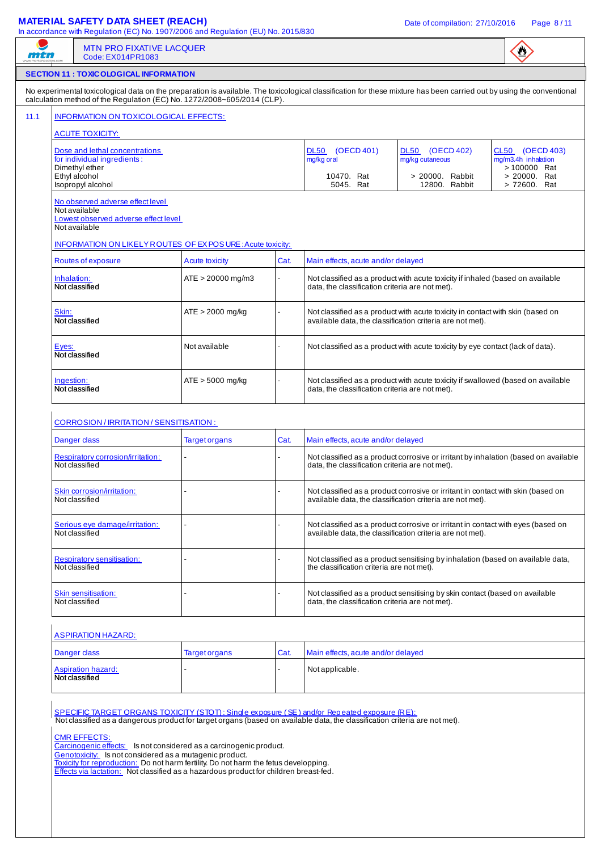## **MATERIAL SAFETY DATA SHEET (REACH)** Date of compilation: 27/10/2016 Page 8/11

|                                                                                                            | <b>SECTION 11: TOXIC OLOGICAL INFORMATION</b>                                                                                                                                                                                                |                                                                                                                                                                                                                                                  |                                                                                                                                     |                                                                                |                                                                                                                                               |                                                        |  |  |  |  |
|------------------------------------------------------------------------------------------------------------|----------------------------------------------------------------------------------------------------------------------------------------------------------------------------------------------------------------------------------------------|--------------------------------------------------------------------------------------------------------------------------------------------------------------------------------------------------------------------------------------------------|-------------------------------------------------------------------------------------------------------------------------------------|--------------------------------------------------------------------------------|-----------------------------------------------------------------------------------------------------------------------------------------------|--------------------------------------------------------|--|--|--|--|
|                                                                                                            |                                                                                                                                                                                                                                              |                                                                                                                                                                                                                                                  |                                                                                                                                     |                                                                                |                                                                                                                                               |                                                        |  |  |  |  |
|                                                                                                            |                                                                                                                                                                                                                                              | No experimental toxicological data on the preparation is available. The toxicological classification for these mixture has been carried out by using the conventional<br>calculation method of the Regulation (EC) No. 1272/2008~605/2014 (CLP). |                                                                                                                                     |                                                                                |                                                                                                                                               |                                                        |  |  |  |  |
|                                                                                                            | INFORMATION ON TOXICOLOGICAL EFFECTS:                                                                                                                                                                                                        |                                                                                                                                                                                                                                                  |                                                                                                                                     |                                                                                |                                                                                                                                               |                                                        |  |  |  |  |
|                                                                                                            | <b>ACUTE TOXICITY:</b>                                                                                                                                                                                                                       |                                                                                                                                                                                                                                                  |                                                                                                                                     |                                                                                |                                                                                                                                               |                                                        |  |  |  |  |
|                                                                                                            | Dose and lethal concentrations<br>for individual ingredients:<br>Dimethyl ether                                                                                                                                                              |                                                                                                                                                                                                                                                  |                                                                                                                                     | DL50 (OECD 401)<br>mg/kg oral                                                  | <b>DL50</b><br>(OECD 402)<br>mg/kg cutaneous                                                                                                  | CL50 (OECD 403)<br>mg/m3.4h inhalation<br>> 100000 Rat |  |  |  |  |
| Ethyl alcohol                                                                                              | Isopropyl alcohol                                                                                                                                                                                                                            |                                                                                                                                                                                                                                                  |                                                                                                                                     | 10470. Rat<br>5045. Rat                                                        | > 20000. Rabbit<br>12800. Rabbit                                                                                                              | > 20000. Rat<br>> 72600. Rat                           |  |  |  |  |
| No observed adverse effect level<br>Not available<br>Lowest observed adverse effect level<br>Not available |                                                                                                                                                                                                                                              |                                                                                                                                                                                                                                                  |                                                                                                                                     |                                                                                |                                                                                                                                               |                                                        |  |  |  |  |
| INFORMATION ON LIKELY ROUTES OF EX POSURE: Acute toxicity:                                                 |                                                                                                                                                                                                                                              |                                                                                                                                                                                                                                                  |                                                                                                                                     |                                                                                |                                                                                                                                               |                                                        |  |  |  |  |
|                                                                                                            | Routes of exposure                                                                                                                                                                                                                           | <b>Acute toxicity</b>                                                                                                                                                                                                                            | Cat.                                                                                                                                | Main effects, acute and/or delayed                                             |                                                                                                                                               |                                                        |  |  |  |  |
| Inhalation:<br>Not classified                                                                              |                                                                                                                                                                                                                                              | $ATE > 20000$ mg/m3                                                                                                                                                                                                                              |                                                                                                                                     | data, the classification criteria are not met).                                | Not classified as a product with acute toxicity if inhaled (based on available                                                                |                                                        |  |  |  |  |
| Skin:                                                                                                      | $ATE > 2000$ mg/kg<br>Not classified as a product with acute toxicity in contact with skin (based on<br>available data, the classification criteria are not met).<br>Not classified                                                          |                                                                                                                                                                                                                                                  |                                                                                                                                     |                                                                                |                                                                                                                                               |                                                        |  |  |  |  |
| Eyes:<br>Not classified                                                                                    |                                                                                                                                                                                                                                              | Not available                                                                                                                                                                                                                                    |                                                                                                                                     | Not classified as a product with acute toxicity by eye contact (lack of data). |                                                                                                                                               |                                                        |  |  |  |  |
|                                                                                                            | $ATE > 5000$ mg/kg<br>Ingestion:<br>Not classified                                                                                                                                                                                           |                                                                                                                                                                                                                                                  | Not classified as a product with acute toxicity if swallowed (based on available<br>data, the classification criteria are not met). |                                                                                |                                                                                                                                               |                                                        |  |  |  |  |
|                                                                                                            | CORROSION / IRRITATION / SENSITISATION :                                                                                                                                                                                                     |                                                                                                                                                                                                                                                  |                                                                                                                                     |                                                                                |                                                                                                                                               |                                                        |  |  |  |  |
| Danger class                                                                                               |                                                                                                                                                                                                                                              | <b>Target organs</b>                                                                                                                                                                                                                             | Cat.                                                                                                                                | Main effects, acute and/or delayed                                             |                                                                                                                                               |                                                        |  |  |  |  |
| Not classified                                                                                             | Respiratory corrosion/irritation:                                                                                                                                                                                                            |                                                                                                                                                                                                                                                  |                                                                                                                                     | data, the classification criteria are not met).                                | Not classified as a product corrosive or irritant by inhalation (based on available                                                           |                                                        |  |  |  |  |
| Not classified                                                                                             | Skin corrosion/irritation:                                                                                                                                                                                                                   |                                                                                                                                                                                                                                                  |                                                                                                                                     |                                                                                | Not classified as a product corrosive or irritant in contact with skin (based on<br>available data, the classification criteria are not met). |                                                        |  |  |  |  |
| Not classified                                                                                             | Serious eye damage/irritation:                                                                                                                                                                                                               |                                                                                                                                                                                                                                                  |                                                                                                                                     |                                                                                | Not classified as a product corrosive or irritant in contact with eyes (based on<br>available data, the classification criteria are not met). |                                                        |  |  |  |  |
| Not classified                                                                                             | <b>Respiratory sensitisation:</b>                                                                                                                                                                                                            |                                                                                                                                                                                                                                                  |                                                                                                                                     | the classification criteria are not met).                                      | Not classified as a product sensitising by inhalation (based on available data,                                                               |                                                        |  |  |  |  |
| Not classified                                                                                             | Skin sensitisation:                                                                                                                                                                                                                          |                                                                                                                                                                                                                                                  |                                                                                                                                     | data, the classification criteria are not met).                                | Not classified as a product sensitising by skin contact (based on available                                                                   |                                                        |  |  |  |  |
|                                                                                                            | <b>ASPIRATION HAZARD:</b>                                                                                                                                                                                                                    |                                                                                                                                                                                                                                                  |                                                                                                                                     |                                                                                |                                                                                                                                               |                                                        |  |  |  |  |
| Danger class                                                                                               |                                                                                                                                                                                                                                              | <b>Target organs</b>                                                                                                                                                                                                                             | Cat.                                                                                                                                | Main effects, acute and/or delayed                                             |                                                                                                                                               |                                                        |  |  |  |  |
| Not classified                                                                                             | <b>Aspiration hazard:</b>                                                                                                                                                                                                                    |                                                                                                                                                                                                                                                  |                                                                                                                                     | Not applicable.                                                                |                                                                                                                                               |                                                        |  |  |  |  |
|                                                                                                            | SPECIFIC TARGET ORGANS TOXICITY (STOT): Single exposure (SE) and/or Repeated exposure (RE):<br>Not classified as a dangerous product for target organs (based on available data, the classification criteria are not met).                   |                                                                                                                                                                                                                                                  |                                                                                                                                     |                                                                                |                                                                                                                                               |                                                        |  |  |  |  |
|                                                                                                            | <b>CMR EFFECTS:</b><br>Carcinogenic effects: Is not considered as a carcinogenic product.<br>Genotoxicity: Is not considered as a mutagenic product.<br>Toxicity for reproduction: Do not harm fertility. Do not harm the fetus developping. |                                                                                                                                                                                                                                                  |                                                                                                                                     |                                                                                |                                                                                                                                               |                                                        |  |  |  |  |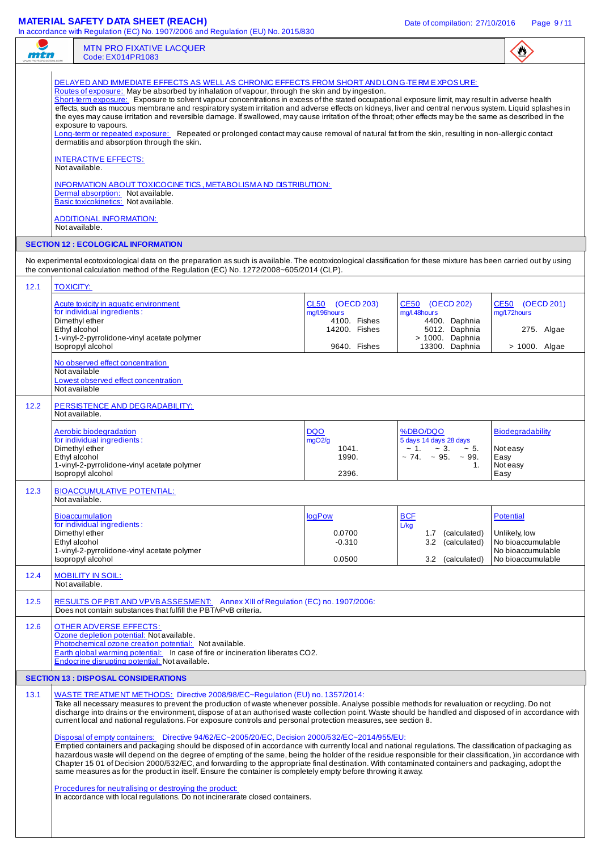## **MATERIAL SAFETY DATA SHEET (REACH)** Date of compilation: 27/10/2016 Page 9/11

| men  | <b>MTN PRO FIXATIVE LACQUER</b><br>Code: EX014PR1083                                                                                                                                                                                                                                                                                                                                                                                                                                                                                                                                                                                                                                                                                                                                                                                                                                                                                                                                                                                                                                                                                                                                                                                                                                                                                                     |                                                                                                 |                                                                                                                  | $\bullet$                                                                                        |  |  |
|------|----------------------------------------------------------------------------------------------------------------------------------------------------------------------------------------------------------------------------------------------------------------------------------------------------------------------------------------------------------------------------------------------------------------------------------------------------------------------------------------------------------------------------------------------------------------------------------------------------------------------------------------------------------------------------------------------------------------------------------------------------------------------------------------------------------------------------------------------------------------------------------------------------------------------------------------------------------------------------------------------------------------------------------------------------------------------------------------------------------------------------------------------------------------------------------------------------------------------------------------------------------------------------------------------------------------------------------------------------------|-------------------------------------------------------------------------------------------------|------------------------------------------------------------------------------------------------------------------|--------------------------------------------------------------------------------------------------|--|--|
|      | DELAYED AND IMMEDIATE EFFECTS AS WELLAS CHRONIC EFFECTS FROM SHORT AND LONG-TE RM EXPOSURE:<br>Routes of exposure: May be absorbed by inhalation of vapour, through the skin and by ingestion.<br>Short-term exposure: Exposure to solvent vapour concentrations in excess of the stated occupational exposure limit, may result in adverse health<br>effects, such as mucous membrane and respiratory system irritation and adverse effects on kidneys, liver and central nervous system. Liquid splashes in<br>the eyes may cause irritation and reversible damage. If swallowed, may cause irritation of the throat; other effects may be the same as described in the<br>exposure to vapours.<br>Long-term or repeated exposure: Repeated or prolonged contact may cause removal of natural fat from the skin, resulting in non-allergic contact<br>dermatitis and absorption through the skin.<br><b>INTERACTIVE EFFECTS:</b><br>Not available.<br>INFORMATION ABOUT TOXICOCINE TICS, METABOLISM AND DISTRIBUTION:<br>Dermal absorption: Not available.<br>Basic toxicokinetics: Not available.<br><b>ADDITIONAL INFORMATION:</b><br>Not available.<br><b>SECTION 12 : ECOLOGICAL INFORMATION</b>                                                                                                                                                   |                                                                                                 |                                                                                                                  |                                                                                                  |  |  |
|      | No experimental ecotoxicological data on the preparation as such is available. The ecotoxicological classification for these mixture has been carried out by using<br>the conventional calculation method of the Regulation (EC) No. 1272/2008~605/2014 (CLP).                                                                                                                                                                                                                                                                                                                                                                                                                                                                                                                                                                                                                                                                                                                                                                                                                                                                                                                                                                                                                                                                                           |                                                                                                 |                                                                                                                  |                                                                                                  |  |  |
| 12.1 | <b>TOXICITY:</b><br>Acute toxicity in aquatic environment<br>for individual ingredients:<br>Dimethyl ether<br>Ethyl alcohol<br>1-vinyl-2-pyrrolidone-vinyl acetate polymer<br>Isopropyl alcohol                                                                                                                                                                                                                                                                                                                                                                                                                                                                                                                                                                                                                                                                                                                                                                                                                                                                                                                                                                                                                                                                                                                                                          | (OECD 203)<br>CL <sub>50</sub><br>mg/l.96hours<br>4100. Fishes<br>14200. Fishes<br>9640. Fishes | <b>CE50</b><br>(OECD 202)<br>mg/l.48hours<br>4400. Daphnia<br>5012. Daphnia<br>> 1000. Daphnia<br>13300. Daphnia | CE50 (OECD 201)<br>mg/l.72hours<br>275. Algae<br>$> 1000$ . Algae                                |  |  |
| 12.2 | No observed effect concentration<br>Not available<br>Lowest observed effect concentration<br>Not available<br>PERSISTENCE AND DEGRADABILITY:<br>Not available.                                                                                                                                                                                                                                                                                                                                                                                                                                                                                                                                                                                                                                                                                                                                                                                                                                                                                                                                                                                                                                                                                                                                                                                           |                                                                                                 |                                                                                                                  |                                                                                                  |  |  |
|      | Aerobic biodegradation<br>for individual ingredients:<br>Dimethyl ether<br>Ethyl alcohol<br>1-vinyl-2-pyrrolidone-vinyl acetate polymer<br>Isopropyl alcohol                                                                                                                                                                                                                                                                                                                                                                                                                                                                                                                                                                                                                                                                                                                                                                                                                                                                                                                                                                                                                                                                                                                                                                                             | <b>DQO</b><br>mgO2/g<br>1041.<br>1990.<br>2396.                                                 | %DBO/DQO<br>5 days 14 days 28 days<br>$\sim 1. \sim 3.$<br>$~1$ – 5.<br>$\sim$ 74. $\sim$ 95. $\sim$ 99.<br>1.   | <b>Biodegradability</b><br>Not easy<br>Easy<br>Not easy<br>Easy                                  |  |  |
| 12.3 | <b>BIOACCUMULATIVE POTENTIAL:</b><br>Not available.                                                                                                                                                                                                                                                                                                                                                                                                                                                                                                                                                                                                                                                                                                                                                                                                                                                                                                                                                                                                                                                                                                                                                                                                                                                                                                      |                                                                                                 |                                                                                                                  |                                                                                                  |  |  |
|      | <b>Bioaccumulation</b><br>for individual ingredients:<br>Dimethyl ether<br>Ethyl alcohol<br>1-vinyl-2-pyrrolidone-vinyl acetate polymer<br>Isopropyl alcohol                                                                                                                                                                                                                                                                                                                                                                                                                                                                                                                                                                                                                                                                                                                                                                                                                                                                                                                                                                                                                                                                                                                                                                                             | logPow<br>0.0700<br>$-0.310$<br>0.0500                                                          | <b>BCF</b><br>L/kg<br>1.7 (calculated)<br>(calculated)<br>3.2<br>3.2 (calculated)                                | <b>Potential</b><br>Unlikely, low<br>No bioaccumulable<br>No bioaccumulable<br>No bioaccumulable |  |  |
| 12.4 | <b>MOBILITY IN SOIL:</b><br>Not available.                                                                                                                                                                                                                                                                                                                                                                                                                                                                                                                                                                                                                                                                                                                                                                                                                                                                                                                                                                                                                                                                                                                                                                                                                                                                                                               |                                                                                                 |                                                                                                                  |                                                                                                  |  |  |
| 12.5 | RESULTS OF PBT AND VPVB ASSESMENT: Annex XIII of Regulation (EC) no. 1907/2006:                                                                                                                                                                                                                                                                                                                                                                                                                                                                                                                                                                                                                                                                                                                                                                                                                                                                                                                                                                                                                                                                                                                                                                                                                                                                          |                                                                                                 |                                                                                                                  |                                                                                                  |  |  |
| 12.6 | Does not contain substances that fulfill the PBT/vPvB criteria.<br>OTHER ADVERSE EFFECTS:<br>Ozone depletion potential: Not available.<br>Photochemical ozone creation potential: Not available.<br>Earth global warming potential: In case of fire or incineration liberates CO2.<br>Endocrine disrupting potential: Not available.                                                                                                                                                                                                                                                                                                                                                                                                                                                                                                                                                                                                                                                                                                                                                                                                                                                                                                                                                                                                                     |                                                                                                 |                                                                                                                  |                                                                                                  |  |  |
|      | <b>SECTION 13 : DISPOSAL CONSIDERATIONS</b>                                                                                                                                                                                                                                                                                                                                                                                                                                                                                                                                                                                                                                                                                                                                                                                                                                                                                                                                                                                                                                                                                                                                                                                                                                                                                                              |                                                                                                 |                                                                                                                  |                                                                                                  |  |  |
| 13.1 | WASTE TREATMENT METHODS: Directive 2008/98/EC~Regulation (EU) no. 1357/2014:<br>Take all necessary measures to prevent the production of waste whenever possible. Analyse possible methods for revaluation or recycling. Do not<br>discharge into drains or the environment, dispose of at an authorised waste collection point. Waste should be handled and disposed of in accordance with<br>current local and national regulations. For exposure controls and personal protection measures, see section 8.<br>Disposal of empty containers: Directive 94/62/EC~2005/20/EC, Decision 2000/532/EC~2014/955/EU:<br>Emptied containers and packaging should be disposed of in accordance with currently local and national regulations. The classification of packaging as<br>hazardous waste will depend on the degree of empting of the same, being the holder of the residue responsible for their classification, )in accordance with<br>Chapter 15 01 of Decision 2000/532/EC, and forwarding to the appropriate final destination. With contaminated containers and packaging, adopt the<br>same measures as for the product in itself. Ensure the container is completely empty before throwing it away.<br>Procedures for neutralising or destroying the product:<br>In accordance with local regulations. Do not incinerarate closed containers. |                                                                                                 |                                                                                                                  |                                                                                                  |  |  |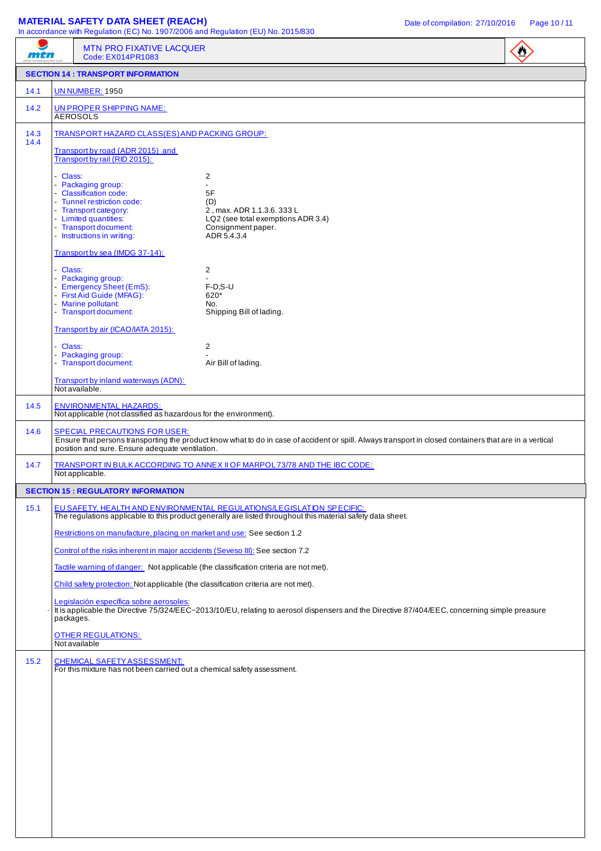## **MATERIAL SAFETY DATA SHEET (REACH)** Date of compilation: 27/10/2016 Page 10/11

| mtn          |           | In accordance with regulation (EC) No. 1507/2000 and regulation (EO) No. 2015/050<br><b>MTN PRO FIXATIVE LACQUER</b><br>Code: EX014PR1083                                           |                                                                                                                                                                                       | $\mathbf{C}$ |
|--------------|-----------|-------------------------------------------------------------------------------------------------------------------------------------------------------------------------------------|---------------------------------------------------------------------------------------------------------------------------------------------------------------------------------------|--------------|
|              |           | <b>SECTION 14 : TRANSPORT INFORMATION</b>                                                                                                                                           |                                                                                                                                                                                       |              |
| 14.1         |           | <b>UN NUMBER: 1950</b>                                                                                                                                                              |                                                                                                                                                                                       |              |
| 14.2         |           | UN PROPER SHIPPING NAME:<br><b>AEROSOLS</b>                                                                                                                                         |                                                                                                                                                                                       |              |
| 14.3<br>14.4 |           | TRANSPORT HAZARD CLASS(ES) AND PACKING GROUP:                                                                                                                                       |                                                                                                                                                                                       |              |
|              |           | Transport by road (ADR 2015) and<br>Transport by rail (RID 2015):                                                                                                                   |                                                                                                                                                                                       |              |
|              | - Class:  | - Packaging group:<br>- Classification code:<br>- Tunnel restriction code:<br>- Transport category:<br>- Limited quantities:<br>- Transport document:<br>- Instructions in writing: | 2<br>$\overline{\phantom{0}}$<br>5F<br>(D)<br>2, max. ADR 1.1.3.6. 333 L<br>LQ2 (see total exemptions ADR 3.4)<br>Consignment paper.<br>ADR 5.4.3.4                                   |              |
|              |           | Transport by sea (IMDG 37-14):                                                                                                                                                      |                                                                                                                                                                                       |              |
|              | - Class:  | - Packaging group:<br>- Emergency Sheet (EmS):<br>- First Aid Guide (MFAG):<br>- Marine pollutant:<br>- Transport document:<br>Transport by air (ICAO/IATA 2015):                   | 2<br>$F-D.S-U$<br>620*<br>No.<br>Shipping Bill of lading.                                                                                                                             |              |
|              | - Class:  | - Packaging group:                                                                                                                                                                  | 2                                                                                                                                                                                     |              |
|              |           | - Transport document:<br>Transport by inland waterways (ADN):                                                                                                                       | Air Bill of lading.                                                                                                                                                                   |              |
| 14.5         |           | Not available.<br><b>ENVIRONMENTAL HAZARDS:</b><br>Not applicable (not classified as hazardous for the environment).                                                                |                                                                                                                                                                                       |              |
| 14.6         |           | <b>SPECIAL PRECAUTIONS FOR USER:</b><br>position and sure. Ensure adequate ventilation.                                                                                             | Ensure that persons transporting the product know what to do in case of accident or spill. Always transport in closed containers that are in a vertical                               |              |
| 14.7         |           | Not applicable.                                                                                                                                                                     | TRANSPORT IN BULK ACCORDING TO ANNEX II OF MARPOL 73/78 AND THE IBC CODE:                                                                                                             |              |
|              |           | <b>SECTION 15 : REGULATORY INFORMATION</b>                                                                                                                                          |                                                                                                                                                                                       |              |
| 15.1         |           |                                                                                                                                                                                     | EU SAFETY, HEALTH AND ENVIRONMENTAL REGULATIONS/LEGISLATION SPIECIFIC:<br>The regulations applicable to this product generally are listed throughout this material safety data sheet. |              |
|              |           | Restrictions on manufacture, placing on market and use: See section 1.2                                                                                                             |                                                                                                                                                                                       |              |
|              |           | Control of the risks inherent in major accidents (Seveso III): See section 7.2                                                                                                      |                                                                                                                                                                                       |              |
|              |           | Tactile warning of danger: Not applicable (the classification criteria are not met).                                                                                                |                                                                                                                                                                                       |              |
|              |           | Child safety protection: Not applicable (the classification criteria are not met).<br>Legislación específica sobre aerosoles:                                                       |                                                                                                                                                                                       |              |
|              | packages. |                                                                                                                                                                                     | It is applicable the Directive 75/324/EEC~2013/10/EU, relating to aerosol dispensers and the Directive 87/404/EEC, concerning simple preasure                                         |              |
|              |           | <b>OTHER REGULATIONS:</b><br>Not available                                                                                                                                          |                                                                                                                                                                                       |              |
| 15.2         |           | <b>CHEMICAL SAFETY ASSESSMENT:</b><br>For this mixture has not been carried out a chemical safety assessment.                                                                       |                                                                                                                                                                                       |              |
|              |           |                                                                                                                                                                                     |                                                                                                                                                                                       |              |